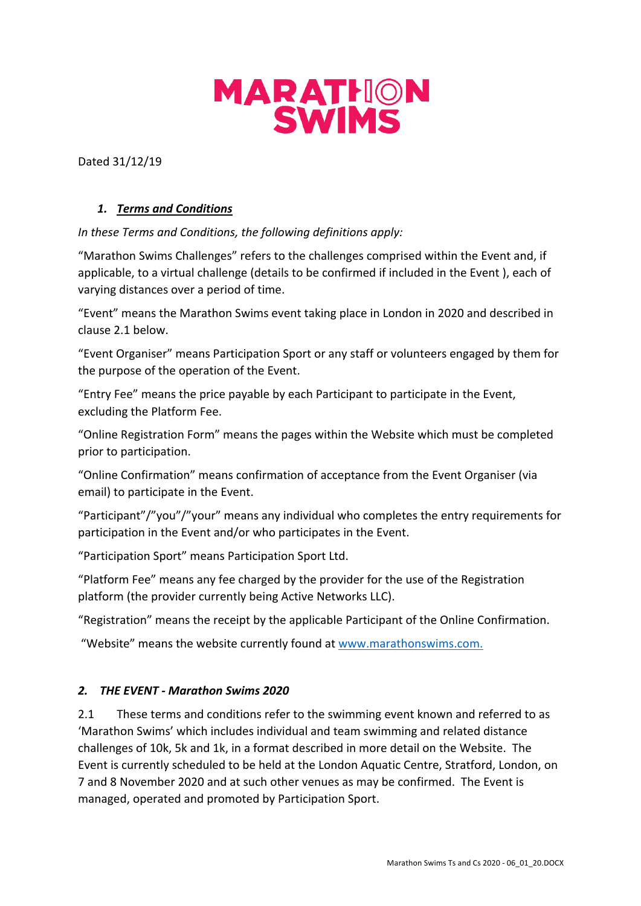

Dated 31/12/19

## *1. Terms and Conditions*

*In these Terms and Conditions, the following definitions apply:*

"Marathon Swims Challenges" refers to the challenges comprised within the Event and, if applicable, to a virtual challenge (details to be confirmed if included in the Event ), each of varying distances over a period of time.

"Event" means the Marathon Swims event taking place in London in 2020 and described in clause 2.1 below.

"Event Organiser" means Participation Sport or any staff or volunteers engaged by them for the purpose of the operation of the Event.

"Entry Fee" means the price payable by each Participant to participate in the Event, excluding the Platform Fee.

"Online Registration Form" means the pages within the Website which must be completed prior to participation.

"Online Confirmation" means confirmation of acceptance from the Event Organiser (via email) to participate in the Event.

"Participant"/"you"/"your" means any individual who completes the entry requirements for participation in the Event and/or who participates in the Event.

"Participation Sport" means Participation Sport Ltd.

"Platform Fee" means any fee charged by the provider for the use of the Registration platform (the provider currently being Active Networks LLC).

"Registration" means the receipt by the applicable Participant of the Online Confirmation.

"Website" means the website currently found at www.marathonswims.com.

## *2. THE EVENT - Marathon Swims 2020*

2.1 These terms and conditions refer to the swimming event known and referred to as 'Marathon Swims' which includes individual and team swimming and related distance challenges of 10k, 5k and 1k, in a format described in more detail on the Website. The Event is currently scheduled to be held at the London Aquatic Centre, Stratford, London, on 7 and 8 November 2020 and at such other venues as may be confirmed. The Event is managed, operated and promoted by Participation Sport.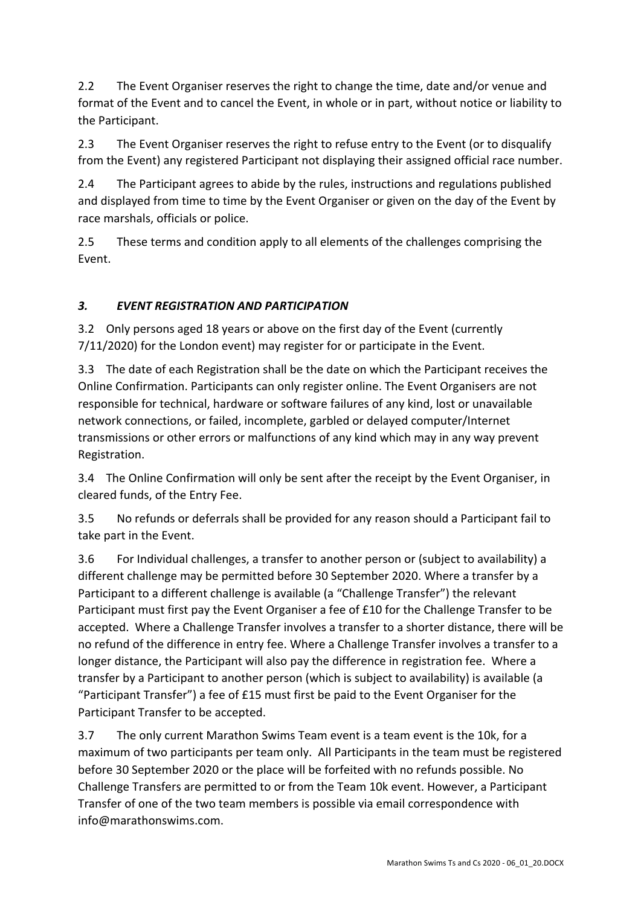2.2 The Event Organiser reserves the right to change the time, date and/or venue and format of the Event and to cancel the Event, in whole or in part, without notice or liability to the Participant.

2.3 The Event Organiser reserves the right to refuse entry to the Event (or to disqualify from the Event) any registered Participant not displaying their assigned official race number.

2.4 The Participant agrees to abide by the rules, instructions and regulations published and displayed from time to time by the Event Organiser or given on the day of the Event by race marshals, officials or police.

2.5 These terms and condition apply to all elements of the challenges comprising the Event.

## *3. EVENT REGISTRATION AND PARTICIPATION*

3.2 Only persons aged 18 years or above on the first day of the Event (currently 7/11/2020) for the London event) may register for or participate in the Event.

3.3 The date of each Registration shall be the date on which the Participant receives the Online Confirmation. Participants can only register online. The Event Organisers are not responsible for technical, hardware or software failures of any kind, lost or unavailable network connections, or failed, incomplete, garbled or delayed computer/Internet transmissions or other errors or malfunctions of any kind which may in any way prevent Registration.

3.4 The Online Confirmation will only be sent after the receipt by the Event Organiser, in cleared funds, of the Entry Fee.

3.5 No refunds or deferrals shall be provided for any reason should a Participant fail to take part in the Event.

3.6 For Individual challenges, a transfer to another person or (subject to availability) a different challenge may be permitted before 30 September 2020. Where a transfer by a Participant to a different challenge is available (a "Challenge Transfer") the relevant Participant must first pay the Event Organiser a fee of £10 for the Challenge Transfer to be accepted. Where a Challenge Transfer involves a transfer to a shorter distance, there will be no refund of the difference in entry fee. Where a Challenge Transfer involves a transfer to a longer distance, the Participant will also pay the difference in registration fee. Where a transfer by a Participant to another person (which is subject to availability) is available (a "Participant Transfer") a fee of  $E15$  must first be paid to the Event Organiser for the Participant Transfer to be accepted.

3.7 The only current Marathon Swims Team event is a team event is the 10k, for a maximum of two participants per team only. All Participants in the team must be registered before 30 September 2020 or the place will be forfeited with no refunds possible. No Challenge Transfers are permitted to or from the Team 10k event. However, a Participant Transfer of one of the two team members is possible via email correspondence with info@marathonswims.com.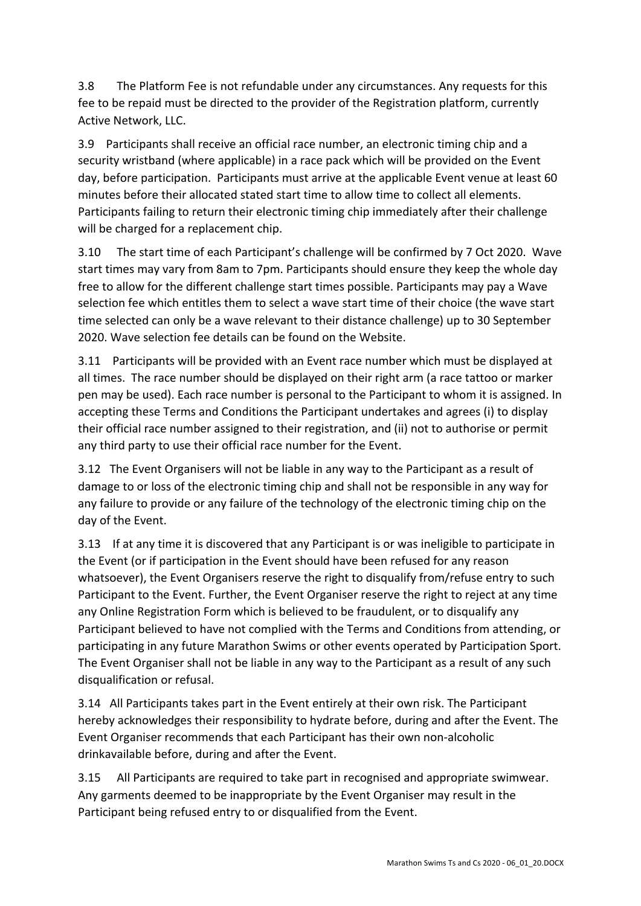3.8 The Platform Fee is not refundable under any circumstances. Any requests for this fee to be repaid must be directed to the provider of the Registration platform, currently Active Network, LLC.

3.9 Participants shall receive an official race number, an electronic timing chip and a security wristband (where applicable) in a race pack which will be provided on the Event day, before participation. Participants must arrive at the applicable Event venue at least 60 minutes before their allocated stated start time to allow time to collect all elements. Participants failing to return their electronic timing chip immediately after their challenge will be charged for a replacement chip.

3.10 The start time of each Participant's challenge will be confirmed by 7 Oct 2020. Wave start times may vary from 8am to 7pm. Participants should ensure they keep the whole day free to allow for the different challenge start times possible. Participants may pay a Wave selection fee which entitles them to select a wave start time of their choice (the wave start time selected can only be a wave relevant to their distance challenge) up to 30 September 2020. Wave selection fee details can be found on the Website.

3.11 Participants will be provided with an Event race number which must be displayed at all times. The race number should be displayed on their right arm (a race tattoo or marker pen may be used). Each race number is personal to the Participant to whom it is assigned. In accepting these Terms and Conditions the Participant undertakes and agrees (i) to display their official race number assigned to their registration, and (ii) not to authorise or permit any third party to use their official race number for the Event.

3.12 The Event Organisers will not be liable in any way to the Participant as a result of damage to or loss of the electronic timing chip and shall not be responsible in any way for any failure to provide or any failure of the technology of the electronic timing chip on the day of the Event.

3.13 If at any time it is discovered that any Participant is or was ineligible to participate in the Event (or if participation in the Event should have been refused for any reason whatsoever), the Event Organisers reserve the right to disqualify from/refuse entry to such Participant to the Event. Further, the Event Organiser reserve the right to reject at any time any Online Registration Form which is believed to be fraudulent, or to disqualify any Participant believed to have not complied with the Terms and Conditions from attending, or participating in any future Marathon Swims or other events operated by Participation Sport. The Event Organiser shall not be liable in any way to the Participant as a result of any such disqualification or refusal.

3.14 All Participants takes part in the Event entirely at their own risk. The Participant hereby acknowledges their responsibility to hydrate before, during and after the Event. The Event Organiser recommends that each Participant has their own non-alcoholic drinkavailable before, during and after the Event.

3.15 All Participants are required to take part in recognised and appropriate swimwear. Any garments deemed to be inappropriate by the Event Organiser may result in the Participant being refused entry to or disqualified from the Event.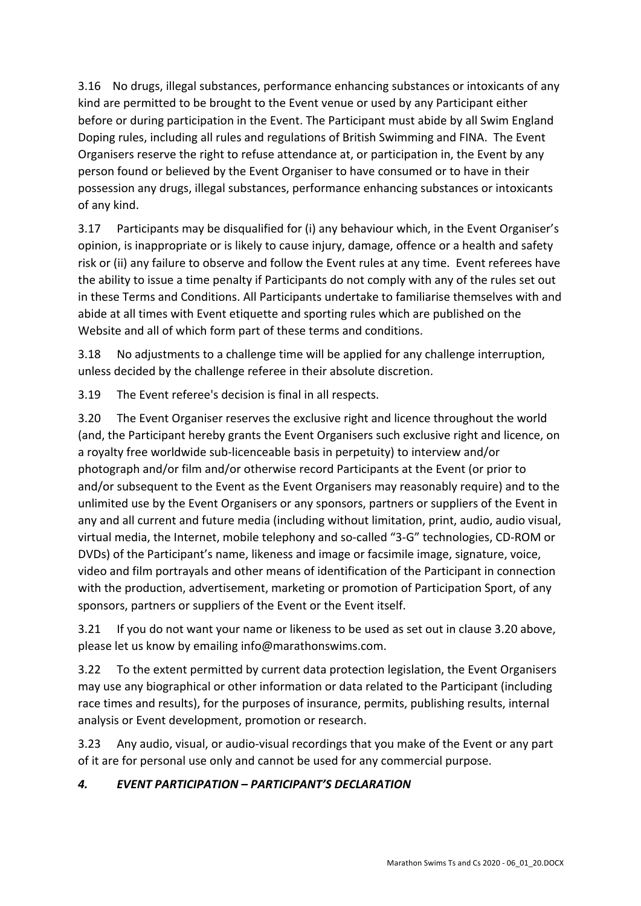3.16 No drugs, illegal substances, performance enhancing substances or intoxicants of any kind are permitted to be brought to the Event venue or used by any Participant either before or during participation in the Event. The Participant must abide by all Swim England Doping rules, including all rules and regulations of British Swimming and FINA. The Event Organisers reserve the right to refuse attendance at, or participation in, the Event by any person found or believed by the Event Organiser to have consumed or to have in their possession any drugs, illegal substances, performance enhancing substances or intoxicants of any kind.

3.17 Participants may be disqualified for (i) any behaviour which, in the Event Organiser's opinion, is inappropriate or is likely to cause injury, damage, offence or a health and safety risk or (ii) any failure to observe and follow the Event rules at any time. Event referees have the ability to issue a time penalty if Participants do not comply with any of the rules set out in these Terms and Conditions. All Participants undertake to familiarise themselves with and abide at all times with Event etiquette and sporting rules which are published on the Website and all of which form part of these terms and conditions.

3.18 No adjustments to a challenge time will be applied for any challenge interruption, unless decided by the challenge referee in their absolute discretion.

3.19 The Event referee's decision is final in all respects.

3.20 The Event Organiser reserves the exclusive right and licence throughout the world (and, the Participant hereby grants the Event Organisers such exclusive right and licence, on a royalty free worldwide sub-licenceable basis in perpetuity) to interview and/or photograph and/or film and/or otherwise record Participants at the Event (or prior to and/or subsequent to the Event as the Event Organisers may reasonably require) and to the unlimited use by the Event Organisers or any sponsors, partners or suppliers of the Event in any and all current and future media (including without limitation, print, audio, audio visual, virtual media, the Internet, mobile telephony and so-called "3-G" technologies, CD-ROM or DVDs) of the Participant's name, likeness and image or facsimile image, signature, voice, video and film portrayals and other means of identification of the Participant in connection with the production, advertisement, marketing or promotion of Participation Sport, of any sponsors, partners or suppliers of the Event or the Event itself.

3.21 If you do not want your name or likeness to be used as set out in clause 3.20 above, please let us know by emailing info@marathonswims.com.

3.22 To the extent permitted by current data protection legislation, the Event Organisers may use any biographical or other information or data related to the Participant (including race times and results), for the purposes of insurance, permits, publishing results, internal analysis or Event development, promotion or research.

3.23 Any audio, visual, or audio-visual recordings that you make of the Event or any part of it are for personal use only and cannot be used for any commercial purpose.

## *4. EVENT PARTICIPATION – PARTICIPANT'S DECLARATION*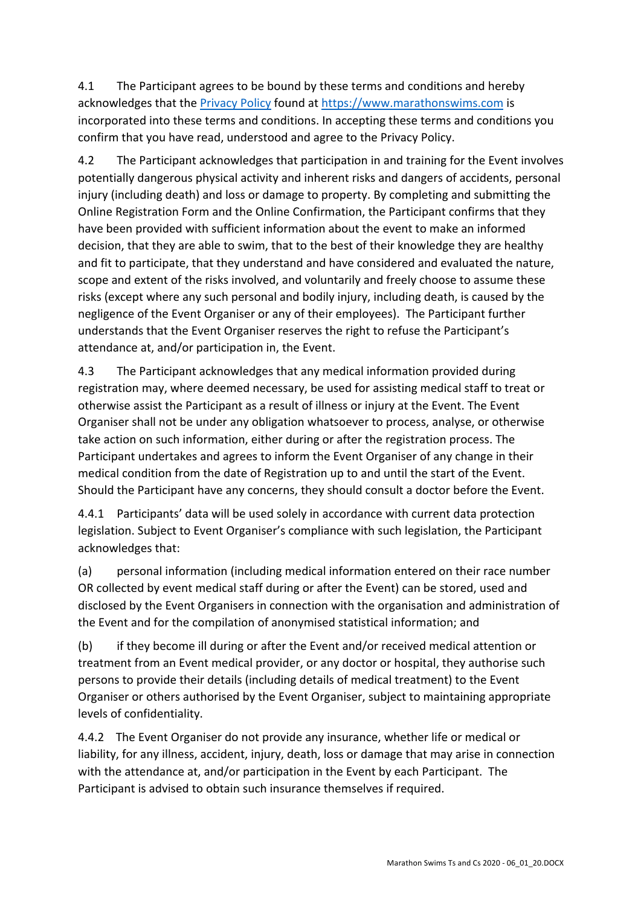4.1 The Participant agrees to be bound by these terms and conditions and hereby acknowledges that the Privacy Policy found at https://www.marathonswims.com is incorporated into these terms and conditions. In accepting these terms and conditions you confirm that you have read, understood and agree to the Privacy Policy.

4.2 The Participant acknowledges that participation in and training for the Event involves potentially dangerous physical activity and inherent risks and dangers of accidents, personal injury (including death) and loss or damage to property. By completing and submitting the Online Registration Form and the Online Confirmation, the Participant confirms that they have been provided with sufficient information about the event to make an informed decision, that they are able to swim, that to the best of their knowledge they are healthy and fit to participate, that they understand and have considered and evaluated the nature, scope and extent of the risks involved, and voluntarily and freely choose to assume these risks (except where any such personal and bodily injury, including death, is caused by the negligence of the Event Organiser or any of their employees). The Participant further understands that the Event Organiser reserves the right to refuse the Participant's attendance at, and/or participation in, the Event.

4.3 The Participant acknowledges that any medical information provided during registration may, where deemed necessary, be used for assisting medical staff to treat or otherwise assist the Participant as a result of illness or injury at the Event. The Event Organiser shall not be under any obligation whatsoever to process, analyse, or otherwise take action on such information, either during or after the registration process. The Participant undertakes and agrees to inform the Event Organiser of any change in their medical condition from the date of Registration up to and until the start of the Event. Should the Participant have any concerns, they should consult a doctor before the Event.

4.4.1 Participants' data will be used solely in accordance with current data protection legislation. Subject to Event Organiser's compliance with such legislation, the Participant acknowledges that:

(a) personal information (including medical information entered on their race number OR collected by event medical staff during or after the Event) can be stored, used and disclosed by the Event Organisers in connection with the organisation and administration of the Event and for the compilation of anonymised statistical information; and

(b) if they become ill during or after the Event and/or received medical attention or treatment from an Event medical provider, or any doctor or hospital, they authorise such persons to provide their details (including details of medical treatment) to the Event Organiser or others authorised by the Event Organiser, subject to maintaining appropriate levels of confidentiality.

4.4.2 The Event Organiser do not provide any insurance, whether life or medical or liability, for any illness, accident, injury, death, loss or damage that may arise in connection with the attendance at, and/or participation in the Event by each Participant. The Participant is advised to obtain such insurance themselves if required.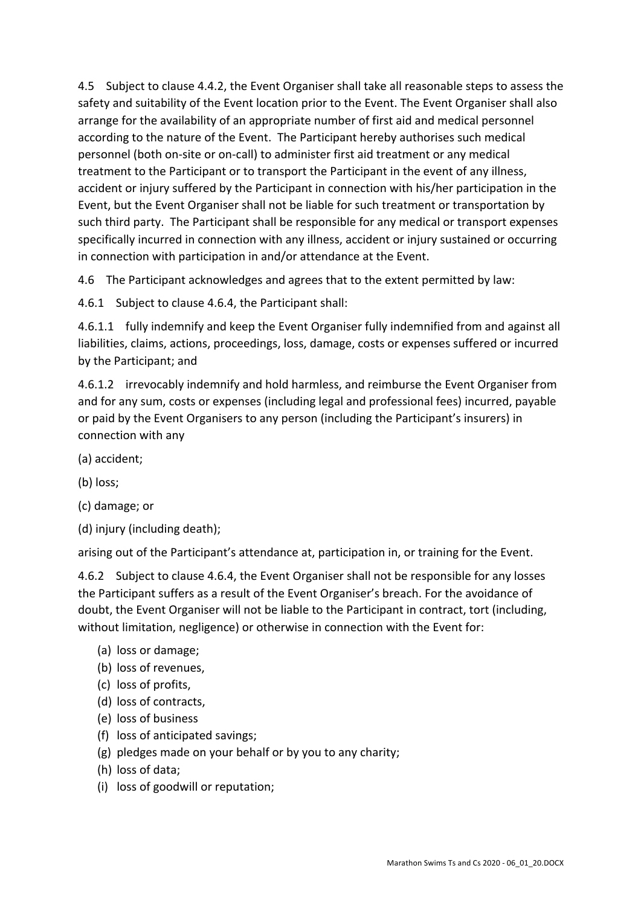4.5 Subject to clause 4.4.2, the Event Organiser shall take all reasonable steps to assess the safety and suitability of the Event location prior to the Event. The Event Organiser shall also arrange for the availability of an appropriate number of first aid and medical personnel according to the nature of the Event. The Participant hereby authorises such medical personnel (both on-site or on-call) to administer first aid treatment or any medical treatment to the Participant or to transport the Participant in the event of any illness, accident or injury suffered by the Participant in connection with his/her participation in the Event, but the Event Organiser shall not be liable for such treatment or transportation by such third party. The Participant shall be responsible for any medical or transport expenses specifically incurred in connection with any illness, accident or injury sustained or occurring in connection with participation in and/or attendance at the Event.

4.6 The Participant acknowledges and agrees that to the extent permitted by law:

4.6.1 Subject to clause 4.6.4, the Participant shall:

4.6.1.1 fully indemnify and keep the Event Organiser fully indemnified from and against all liabilities, claims, actions, proceedings, loss, damage, costs or expenses suffered or incurred by the Participant; and

4.6.1.2 irrevocably indemnify and hold harmless, and reimburse the Event Organiser from and for any sum, costs or expenses (including legal and professional fees) incurred, payable or paid by the Event Organisers to any person (including the Participant's insurers) in connection with any

- (a) accident;
- (b) loss;
- (c) damage; or
- (d) injury (including death);

arising out of the Participant's attendance at, participation in, or training for the Event.

4.6.2 Subject to clause 4.6.4, the Event Organiser shall not be responsible for any losses the Participant suffers as a result of the Event Organiser's breach. For the avoidance of doubt, the Event Organiser will not be liable to the Participant in contract, tort (including, without limitation, negligence) or otherwise in connection with the Event for:

- (a) loss or damage;
- (b) loss of revenues,
- (c) loss of profits,
- (d) loss of contracts,
- (e) loss of business
- (f) loss of anticipated savings;
- (g) pledges made on your behalf or by you to any charity;
- (h) loss of data;
- (i) loss of goodwill or reputation;